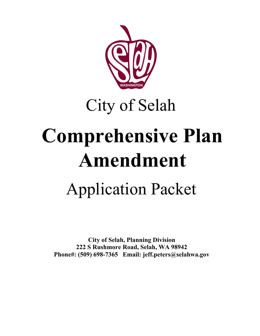

## City of Selah

# **Comprehensive Plan Amendment** Application Packet

**City of Selah, Planning Division 222 S Rushmore Road, Selah, WA 98942 Phone#: (509) 698-7365 Email: jeff.peters@selahwa.gov**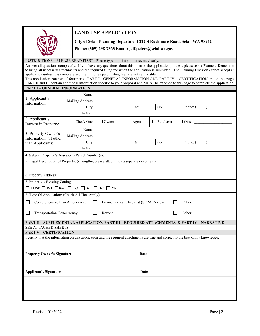

#### **LAND USE APPLICATION**

**City of Selah Planning Department 222 S Rushmore Road, Selah WA 98942** 

**Phone: (509) 698-7365 Email: jeff.peters@selahwa.gov**

INSTRUCTIONS – PLEASE READ FIRST Please type or print your answers clearly.

Answer all questions completely. If you have any questions about this form or the application process, please ask a Planner. Remember to bring all necessary attachments and the required filing fee when the application is submitted. The Planning Division cannot accept an application unless it is complete and the filing fee paid. Filing fees are not refundable. This application consists of four parts. PART I - GENERAL INFORMATION AND PART IV – CERTIFICATION are on this page. PART II and III contain additional information specific to your proposal and MUST be attached to this page to complete the application.

#### **PART I – GENERAL INFORMATION**

| <b>PART I – GENERAL INFORMATION</b>                                                                  |                  |              |              |           |                                                                                                                                   |  |  |
|------------------------------------------------------------------------------------------------------|------------------|--------------|--------------|-----------|-----------------------------------------------------------------------------------------------------------------------------------|--|--|
|                                                                                                      | Name:            |              |              |           |                                                                                                                                   |  |  |
| 1. Applicant's<br>Information:                                                                       | Mailing Address: |              |              |           |                                                                                                                                   |  |  |
|                                                                                                      | City:            |              | St:          | Zip:      | Phone: (<br>$\mathcal{L}$                                                                                                         |  |  |
|                                                                                                      | E-Mail:          |              |              |           |                                                                                                                                   |  |  |
| 2. Applicant's<br>Interest in Property:                                                              | Check One:       | $\Box$ Owner | $\Box$ Agent | Purchaser | $\Box$ Other                                                                                                                      |  |  |
|                                                                                                      | Name:            |              |              |           |                                                                                                                                   |  |  |
| 3. Property Owner's<br>Information (If other                                                         | Mailing Address: |              |              |           |                                                                                                                                   |  |  |
| than Applicant):                                                                                     | City:            |              | St:          | Zip:      | Phone: (<br>$\mathcal{L}$                                                                                                         |  |  |
|                                                                                                      | E-Mail:          |              |              |           |                                                                                                                                   |  |  |
| 4. Subject Property's Assessor's Parcel Number(s):                                                   |                  |              |              |           |                                                                                                                                   |  |  |
| 5. Legal Description of Property. (if lengthy, please attach it on a separate document)              |                  |              |              |           |                                                                                                                                   |  |  |
|                                                                                                      |                  |              |              |           |                                                                                                                                   |  |  |
| 6. Property Address:                                                                                 |                  |              |              |           |                                                                                                                                   |  |  |
| 7. Property's Existing Zoning:                                                                       |                  |              |              |           |                                                                                                                                   |  |  |
| $\Box$ LDSF $\Box$ R-1 $\Box$ R-2 $\Box$ R-3 $\Box$ B-1 $\Box$ B-2 $\Box$ M-1                        |                  |              |              |           |                                                                                                                                   |  |  |
| 8. Type Of Application: (Check All That Apply)                                                       |                  |              |              |           |                                                                                                                                   |  |  |
| Comprehensive Plan Amendment<br>Environmental Checklist (SEPA Review)<br>Other:<br>П<br>$\mathbf{I}$ |                  |              |              |           |                                                                                                                                   |  |  |
|                                                                                                      |                  |              |              |           |                                                                                                                                   |  |  |
| <b>Transportation Concurrency</b><br>Rezone<br>Other:<br>LI                                          |                  |              |              |           |                                                                                                                                   |  |  |
| PART II - SUPPLEMENTAL APPLICATION, PART III - REQUIRED ATTACHMENTS, & PART IV - NARRATIVE           |                  |              |              |           |                                                                                                                                   |  |  |
| SEE ATTACHED SHEETS                                                                                  |                  |              |              |           |                                                                                                                                   |  |  |
| <b>PART V - CERTIFICATION</b>                                                                        |                  |              |              |           |                                                                                                                                   |  |  |
|                                                                                                      |                  |              |              |           | I certify that the information on this application and the required attachments are true and correct to the best of my knowledge. |  |  |
|                                                                                                      |                  |              |              |           |                                                                                                                                   |  |  |
|                                                                                                      |                  |              |              |           |                                                                                                                                   |  |  |
| <b>Property Owner's Signature</b><br><b>Date</b>                                                     |                  |              |              |           |                                                                                                                                   |  |  |
|                                                                                                      |                  |              |              |           |                                                                                                                                   |  |  |
| <b>Applicant's Signature</b><br><b>Date</b>                                                          |                  |              |              |           |                                                                                                                                   |  |  |
|                                                                                                      |                  |              |              |           |                                                                                                                                   |  |  |
|                                                                                                      |                  |              |              |           |                                                                                                                                   |  |  |
|                                                                                                      |                  |              |              |           |                                                                                                                                   |  |  |
|                                                                                                      |                  |              |              |           |                                                                                                                                   |  |  |
|                                                                                                      |                  |              |              |           |                                                                                                                                   |  |  |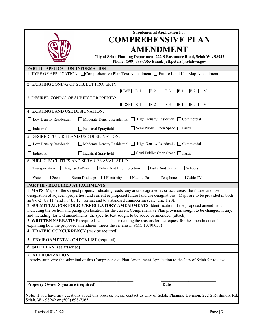| <b>Supplemental Application For:</b><br><b>COMPREHENSIVE PLAN</b>                                                                                                                                                                                                                                                                         |  |  |  |  |  |
|-------------------------------------------------------------------------------------------------------------------------------------------------------------------------------------------------------------------------------------------------------------------------------------------------------------------------------------------|--|--|--|--|--|
|                                                                                                                                                                                                                                                                                                                                           |  |  |  |  |  |
| <b>AMENDMENT</b>                                                                                                                                                                                                                                                                                                                          |  |  |  |  |  |
| City of Selah Planning Department 222 S Rushmore Road, Selah WA 98942<br>Phone: (509) 698-7365 Email: jeff.peters@selahwa.gov                                                                                                                                                                                                             |  |  |  |  |  |
| PART II - APPLICATION INFORMATION                                                                                                                                                                                                                                                                                                         |  |  |  |  |  |
| 1. TYPE OF APPLICATION: Comprehensive Plan Text Amendment C Future Land Use Map Amendment                                                                                                                                                                                                                                                 |  |  |  |  |  |
| 2. EXISTING ZONING OF SUBJECT PROPERTY:                                                                                                                                                                                                                                                                                                   |  |  |  |  |  |
| $\Box$ LDSF $\Box$ R-1<br>$R-2$<br>$\Box$ R-3 $\Box$ B-1 $\Box$ B-2 $\Box$ M-1                                                                                                                                                                                                                                                            |  |  |  |  |  |
| 3. DESIRED ZONING OF SUBJECT PROPERTY:                                                                                                                                                                                                                                                                                                    |  |  |  |  |  |
| $\Box$ LDSF $\Box$ R-1<br>$\Box R-2$ $\Box R-3$ $\Box B-1$ $\Box B-2$ $\Box M-1$                                                                                                                                                                                                                                                          |  |  |  |  |  |
| 4. EXISTING LAND USE DESIGNATION:                                                                                                                                                                                                                                                                                                         |  |  |  |  |  |
| □ Moderate Density Residential □ High Density Residential □ Commercial<br>Low Density Residential                                                                                                                                                                                                                                         |  |  |  |  |  |
| Semi Public/ Open Space   Parks<br>$\Box$ Industrial<br>Industrial Sprayfield                                                                                                                                                                                                                                                             |  |  |  |  |  |
| 5. DESIRED FUTURE LAND USE DESIGNATION:                                                                                                                                                                                                                                                                                                   |  |  |  |  |  |
| $\Box$ Moderate Density Residential $\Box$ High Density Residential $\Box$ Commercial<br>Low Density Residential                                                                                                                                                                                                                          |  |  |  |  |  |
| $\Box$ Semi Public/ Open Space $\Box$ Parks<br>$\Box$ Industrial<br>Industrial Sprayfield                                                                                                                                                                                                                                                 |  |  |  |  |  |
| 6. PUBLIC FACILITIES AND SERVICES AVAILABLE:                                                                                                                                                                                                                                                                                              |  |  |  |  |  |
| Transportation<br>□ Rights-Of-Way □ Police And Fire Protection<br>$\Box$ Schools<br>Parks And Trails                                                                                                                                                                                                                                      |  |  |  |  |  |
| $\Box$ Water<br>Storm Drainage<br>$\Box$ Sewer<br>$\Box$ Electricity<br>Natural Gas<br>$\Box$ Telephone<br>Cable TV                                                                                                                                                                                                                       |  |  |  |  |  |
| PART III - REQUIRED ATTACHMENTS                                                                                                                                                                                                                                                                                                           |  |  |  |  |  |
| 1. MAPS: Maps of the subject property indicating roads, any area designated as critical areas, the future land use<br>designation of adjacent properties, and current & proposed future land use designations. Maps are to be provided in both<br>an 8-1/2" by 11" and 11" by 17" format and to a standard engineering scale (e.g. 1:20). |  |  |  |  |  |
| 2. SUBMITTAL FOR POLICY/REGULATORY AMENDMENTS: Identification of the proposed amendment<br>indicating the section and paragraph location for the current Comprehensive Plan provision sought to be changed, if any,                                                                                                                       |  |  |  |  |  |
| and including, for text amendments, the specific text sought to be added or amended. (attach)                                                                                                                                                                                                                                             |  |  |  |  |  |
| 3. WRITTEN NARRATIVE (required, see attached): (stating the reasons for the request for the amendment and<br>explaining how the proposed amendment meets the criteria in SMC 10.40.050)                                                                                                                                                   |  |  |  |  |  |
| 4. TRAFFIC CONCURRENCY (may be required)                                                                                                                                                                                                                                                                                                  |  |  |  |  |  |
| 5. ENVIRONMENTAL CHECKLIST (required)                                                                                                                                                                                                                                                                                                     |  |  |  |  |  |
| 6. SITE PLAN (see attached)                                                                                                                                                                                                                                                                                                               |  |  |  |  |  |
| 7. AUTHORIZATION:<br>I hereby authorize the submittal of this Comprehensive Plan Amendment Application to the City of Selah for review.                                                                                                                                                                                                   |  |  |  |  |  |
|                                                                                                                                                                                                                                                                                                                                           |  |  |  |  |  |
| <b>Property Owner Signature (required)</b><br><b>Date</b>                                                                                                                                                                                                                                                                                 |  |  |  |  |  |
| Note: if you have any questions about this process, please contact us City of Selah, Planning Division, 222 S Rushmore Rd.<br>Selah, WA 98942 or (509) 698-7365                                                                                                                                                                           |  |  |  |  |  |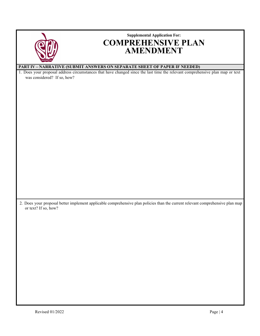|                             | <b>Supplemental Application For:</b>                                                                                                                                                                       |
|-----------------------------|------------------------------------------------------------------------------------------------------------------------------------------------------------------------------------------------------------|
|                             | <b>COMPREHENSIVE PLAN</b>                                                                                                                                                                                  |
|                             | <b>AMENDMENT</b>                                                                                                                                                                                           |
|                             |                                                                                                                                                                                                            |
|                             |                                                                                                                                                                                                            |
|                             | PART IV - NARRATIVE (SUBMIT ANSWERS ON SEPARATE SHEET OF PAPER IF NEEDED)<br>1. Does your proposal address circumstances that have changed since the last time the relevant comprehensive plan map or text |
| was considered? If so, how? |                                                                                                                                                                                                            |
|                             |                                                                                                                                                                                                            |
|                             |                                                                                                                                                                                                            |
|                             |                                                                                                                                                                                                            |
|                             |                                                                                                                                                                                                            |
|                             |                                                                                                                                                                                                            |
|                             |                                                                                                                                                                                                            |
|                             |                                                                                                                                                                                                            |
|                             |                                                                                                                                                                                                            |
|                             |                                                                                                                                                                                                            |
|                             |                                                                                                                                                                                                            |
|                             |                                                                                                                                                                                                            |
|                             |                                                                                                                                                                                                            |
|                             |                                                                                                                                                                                                            |
|                             |                                                                                                                                                                                                            |
|                             |                                                                                                                                                                                                            |
|                             |                                                                                                                                                                                                            |
|                             |                                                                                                                                                                                                            |
|                             |                                                                                                                                                                                                            |
|                             |                                                                                                                                                                                                            |
|                             | 2. Does your proposal better implement applicable comprehensive plan policies than the current relevant comprehensive plan map                                                                             |
| or text? If so, how?        |                                                                                                                                                                                                            |
|                             |                                                                                                                                                                                                            |
|                             |                                                                                                                                                                                                            |
|                             |                                                                                                                                                                                                            |
|                             |                                                                                                                                                                                                            |
|                             |                                                                                                                                                                                                            |
|                             |                                                                                                                                                                                                            |
|                             |                                                                                                                                                                                                            |
|                             |                                                                                                                                                                                                            |
|                             |                                                                                                                                                                                                            |
|                             |                                                                                                                                                                                                            |
|                             |                                                                                                                                                                                                            |
|                             |                                                                                                                                                                                                            |
|                             |                                                                                                                                                                                                            |
|                             |                                                                                                                                                                                                            |
|                             |                                                                                                                                                                                                            |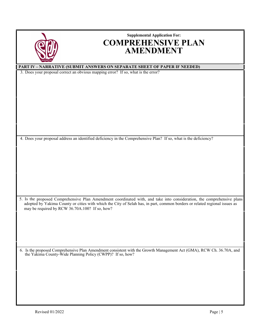|                                                            | <b>Supplemental Application For:</b>                                                                                       |
|------------------------------------------------------------|----------------------------------------------------------------------------------------------------------------------------|
|                                                            |                                                                                                                            |
|                                                            | <b>COMPREHENSIVE PLAN</b>                                                                                                  |
|                                                            |                                                                                                                            |
|                                                            | <b>AMENDMENT</b>                                                                                                           |
|                                                            |                                                                                                                            |
|                                                            |                                                                                                                            |
|                                                            | <b>PART IV - NARRATIVE (SUBMIT ANSWERS ON SEPARATE SHEET OF PAPER IF NEEDED)</b>                                           |
|                                                            | 3. Does your proposal correct an obvious mapping error? If so, what is the error?                                          |
|                                                            |                                                                                                                            |
|                                                            |                                                                                                                            |
|                                                            |                                                                                                                            |
|                                                            |                                                                                                                            |
|                                                            |                                                                                                                            |
|                                                            |                                                                                                                            |
|                                                            |                                                                                                                            |
|                                                            |                                                                                                                            |
|                                                            |                                                                                                                            |
|                                                            |                                                                                                                            |
|                                                            |                                                                                                                            |
|                                                            |                                                                                                                            |
|                                                            |                                                                                                                            |
|                                                            | 4. Does your proposal address an identified deficiency in the Comprehensive Plan? If so, what is the deficiency?           |
|                                                            |                                                                                                                            |
|                                                            |                                                                                                                            |
|                                                            |                                                                                                                            |
|                                                            |                                                                                                                            |
|                                                            |                                                                                                                            |
|                                                            |                                                                                                                            |
|                                                            |                                                                                                                            |
|                                                            |                                                                                                                            |
|                                                            |                                                                                                                            |
|                                                            |                                                                                                                            |
|                                                            |                                                                                                                            |
|                                                            | 5. Is the proposed Comprehensive Plan Amendment coordinated with, and take into consideration, the comprehensive plans     |
|                                                            | adopted by Yakima County or cities with which the City of Selah has, in part, common borders or related regional issues as |
| may be required by RCW 36.70A.100? If so, how?             |                                                                                                                            |
|                                                            |                                                                                                                            |
|                                                            |                                                                                                                            |
|                                                            |                                                                                                                            |
|                                                            |                                                                                                                            |
|                                                            |                                                                                                                            |
|                                                            |                                                                                                                            |
|                                                            |                                                                                                                            |
|                                                            |                                                                                                                            |
|                                                            | 6. Is the proposed Comprehensive Plan Amendment consistent with the Growth Management Act (GMA), RCW Ch. 36.70A, and       |
| the Yakima County-Wide Planning Policy (CWPP)? If so, how? |                                                                                                                            |
|                                                            |                                                                                                                            |
|                                                            |                                                                                                                            |
|                                                            |                                                                                                                            |
|                                                            |                                                                                                                            |
|                                                            |                                                                                                                            |
|                                                            |                                                                                                                            |
|                                                            |                                                                                                                            |
|                                                            |                                                                                                                            |
|                                                            |                                                                                                                            |
|                                                            |                                                                                                                            |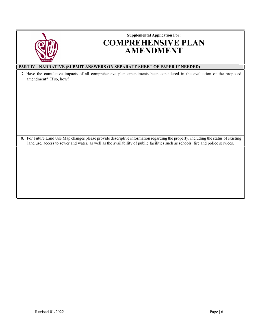| <b>Supplemental Application For:</b><br><b>COMPREHENSIVE PLAN</b><br><b>AMENDMENT</b>                                                                                                                                                                                  |
|------------------------------------------------------------------------------------------------------------------------------------------------------------------------------------------------------------------------------------------------------------------------|
| <b>PART IV - NARRATIVE (SUBMIT ANSWERS ON SEPARATE SHEET OF PAPER IF NEEDED)</b>                                                                                                                                                                                       |
| 7. Have the cumulative impacts of all comprehensive plan amendments been considered in the evaluation of the proposed<br>amendment? If so, how?                                                                                                                        |
| 8. For Future Land Use Map changes please provide descriptive information regarding the property, including the status of existing<br>land use, access to sewer and water, as well as the availability of public facilities such as schools, fire and police services. |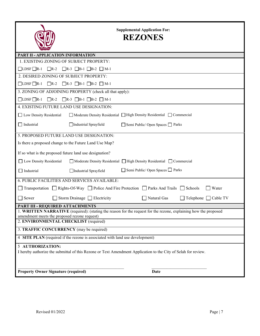



| <b>PART II - APPLICATION INFORMATION</b>                                                                                                                         |  |  |  |  |  |  |
|------------------------------------------------------------------------------------------------------------------------------------------------------------------|--|--|--|--|--|--|
| 1. EXISTING ZONING OF SUBJECT PROPERTY:                                                                                                                          |  |  |  |  |  |  |
| $\Box$ LDSF $\Box$ R-1 $\Box$ R-2 $\Box$ R-3 $\Box$ B-1 $\Box$ B-2 $\Box$ M-1                                                                                    |  |  |  |  |  |  |
| 2. DESIRED ZONING OF SUBJECT PROPERTY:                                                                                                                           |  |  |  |  |  |  |
| $\Box$ LDSF $\Box$ R-1 $\Box$ R-2<br>$\Box$ R-3 $\Box$ B-1 $\Box$ B-2 $\Box$ M-1                                                                                 |  |  |  |  |  |  |
| 3. ZONING OF ADJOINING PROPERTY (check all that apply):                                                                                                          |  |  |  |  |  |  |
| $\Box$ LDSF $\Box$ R-1 $\Box$ R-2<br>$\Box$ R-3 $\Box$ B-1 $\Box$ B-2 $\Box$ M-1                                                                                 |  |  |  |  |  |  |
| 4. EXISTING FUTURE LAND USE DESIGNATION:                                                                                                                         |  |  |  |  |  |  |
| □ Low Density Residential<br>□ Moderate Density Residential □ High Density Residential □ Commercial                                                              |  |  |  |  |  |  |
| $\Box$ Industrial<br>Industrial Sprayfield<br>Semi Public/ Open Spaces next Parks                                                                                |  |  |  |  |  |  |
| 5. PROPOSED FUTURE LAND USE DESIGNATION:                                                                                                                         |  |  |  |  |  |  |
| Is there a proposed change to the Future Land Use Map?                                                                                                           |  |  |  |  |  |  |
| If so what is the proposed future land use designation?                                                                                                          |  |  |  |  |  |  |
| Low Density Residential<br>□ Moderate Density Residential □ High Density Residential □ Commercial                                                                |  |  |  |  |  |  |
| $\Box$ Semi Public/ Open Spaces $\Box$ Parks<br>$\Box$ Industrial<br>Industrial Sprayfield                                                                       |  |  |  |  |  |  |
| 6. PUBLIC FACILITIES AND SERVICES AVAILABLE:                                                                                                                     |  |  |  |  |  |  |
| □ Transportation □ Rights-Of-Way □ Police And Fire Protection □ Parks And Trails<br>Schools<br>Water<br>$\perp$                                                  |  |  |  |  |  |  |
| $\Box$ Sewer<br>Storm Drainage $\Box$ Electricity<br>Natural Gas<br>$\Box$ Telephone $\Box$ Cable TV                                                             |  |  |  |  |  |  |
| PART III - REQUIRED ATTACHMENTS                                                                                                                                  |  |  |  |  |  |  |
| 1. WRITTEN NARRATIVE (required): (stating the reason for the request for the rezone, explaining how the proposed<br>amendment meets the proposed rezone request) |  |  |  |  |  |  |
| 2. ENVIRONMENTAL CHECKLIST (required)                                                                                                                            |  |  |  |  |  |  |
| 3. TRAFFIC CONCURRENCY (may be required)                                                                                                                         |  |  |  |  |  |  |
| 4 SITE PLAN (required if the rezone is associated with land use development)                                                                                     |  |  |  |  |  |  |
| 5 AUTHORIZATION:                                                                                                                                                 |  |  |  |  |  |  |
| I hereby authorize the submittal of this Rezone or Text Amendment Application to the City of Selah for review.                                                   |  |  |  |  |  |  |
|                                                                                                                                                                  |  |  |  |  |  |  |
| <b>Property Owner Signature (required)</b><br><b>Date</b>                                                                                                        |  |  |  |  |  |  |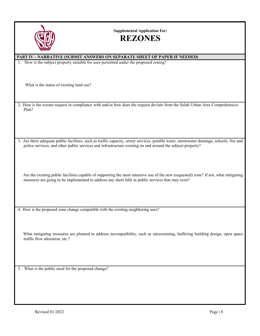

**Supplemental Application For:**

### **REZONES**

| <b>PART IV-NARRATIVE (SUBMIT ANSWERS ON SEPARATE SHEET OF PAPER IF NEEDED)</b>                                                                                  |  |  |  |  |
|-----------------------------------------------------------------------------------------------------------------------------------------------------------------|--|--|--|--|
| 1. How is the subject property suitable for uses permitted under the proposed zoning?                                                                           |  |  |  |  |
|                                                                                                                                                                 |  |  |  |  |
|                                                                                                                                                                 |  |  |  |  |
|                                                                                                                                                                 |  |  |  |  |
| What is the status of existing land use?                                                                                                                        |  |  |  |  |
|                                                                                                                                                                 |  |  |  |  |
|                                                                                                                                                                 |  |  |  |  |
|                                                                                                                                                                 |  |  |  |  |
| 2. How is the rezone request in compliance with and/or how does the request deviate from the Selah Urban Area Comprehensive                                     |  |  |  |  |
| Plan?                                                                                                                                                           |  |  |  |  |
|                                                                                                                                                                 |  |  |  |  |
|                                                                                                                                                                 |  |  |  |  |
|                                                                                                                                                                 |  |  |  |  |
|                                                                                                                                                                 |  |  |  |  |
| 3. Are there adequate public facilities, such as traffic capacity, sewer services, potable water, stormwater drainage, schools, fire and                        |  |  |  |  |
| police services, and other public services and infrastructure existing on and around the subject property?                                                      |  |  |  |  |
|                                                                                                                                                                 |  |  |  |  |
|                                                                                                                                                                 |  |  |  |  |
|                                                                                                                                                                 |  |  |  |  |
|                                                                                                                                                                 |  |  |  |  |
|                                                                                                                                                                 |  |  |  |  |
| Are the existing public facilities capable of supporting the most intensive use of the new (requested) zone? If not, what mitigating                            |  |  |  |  |
| measures are going to be implemented to address any short falls in public services that may exist?                                                              |  |  |  |  |
|                                                                                                                                                                 |  |  |  |  |
|                                                                                                                                                                 |  |  |  |  |
|                                                                                                                                                                 |  |  |  |  |
|                                                                                                                                                                 |  |  |  |  |
| 4. How is the proposed zone change compatible with the existing neighboring uses?                                                                               |  |  |  |  |
|                                                                                                                                                                 |  |  |  |  |
|                                                                                                                                                                 |  |  |  |  |
|                                                                                                                                                                 |  |  |  |  |
|                                                                                                                                                                 |  |  |  |  |
| What mitigating measures are planned to address incompatibility, such as sitescreening, buffering building design, open space<br>traffic flow alteration, etc.? |  |  |  |  |
|                                                                                                                                                                 |  |  |  |  |
|                                                                                                                                                                 |  |  |  |  |
|                                                                                                                                                                 |  |  |  |  |
|                                                                                                                                                                 |  |  |  |  |
|                                                                                                                                                                 |  |  |  |  |
| 5. What is the public need for the proposed change?                                                                                                             |  |  |  |  |
|                                                                                                                                                                 |  |  |  |  |
|                                                                                                                                                                 |  |  |  |  |
|                                                                                                                                                                 |  |  |  |  |
|                                                                                                                                                                 |  |  |  |  |
|                                                                                                                                                                 |  |  |  |  |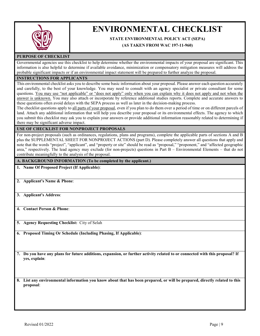

## **ENVIRONMENTAL CHECKLIST**

#### **STATE ENVIRONMENTAL POLICY ACT (SEPA)**

#### **(AS TAKEN FROM WAC 197-11-960)**

#### **PURPOSE OF CHECKLIST**

Governmental agencies use this checklist to help determine whether the environmental impacts of your proposal are significant. This information is also helpful to determine if available avoidance, minimization or compensatory mitigation measures will address the probable significant impacts or if an environmental impact statement will be prepared to further analyze the proposal.

#### **INSTRUCTIONS FOR APPLICANTS**

This environmental checklist asks you to describe some basic information about your proposal. Please answer each question accurately and carefully, to the best of your knowledge. You may need to consult with an agency specialist or private consultant for some questions. You may use "not applicable" or "does not apply" only when you can explain why it does not apply and not when the answer is unknown. You may also attach or incorporate by reference additional studies reports. Complete and accurate answers to these questions often avoid delays with the SEPA process as well as later in the decision-making process.

The checklist questions apply to all parts of your proposal, even if you plan to do them over a period of time or on different parcels of land. Attach any additional information that will help you describe your proposal or its environmental effects. The agency to which you submit this checklist may ask you to explain your answers or provide additional information reasonably related to determining if there may be significant adverse impact.

**USE OF CHECKLIST FOR NONPROJECT PROPOSALS**

For non-project proposals (such as ordinances, regulations, plans and programs), complete the applicable parts of sections A and B plus the SUPPLEMENTAL SHEET FOR NONPROJECT ACTIONS (part D). Please completely answer all questions that apply and note that the words "project", "applicant", and "property or site" should be read as "proposal," "proponent," and "affected geographic area," respectively. The lead agency may exclude (for non-projects) questions in Part B – Environmental Elements – that do not contribute meaningfully to the analysis of the proposal.

#### **A. BACKGROUND INFORMATION (To be completed by the applicant.)**

- **1. Name Of Proposed Project (If Applicable)**:
- **2. Applicant's Name & Phone**:
- **3. Applicant's Address**:

**4. Contact Person & Phone**:

**5. Agency Requesting Checklist:** City of Selah

**6. Proposed Timing Or Schedule (Including Phasing, If Applicable)**:

**7. Do you have any plans for future additions, expansion, or further activity related to or connected with this proposal? If yes, explain**:

**8. List any environmental information you know about that has been prepared, or will be prepared, directly related to this proposal**: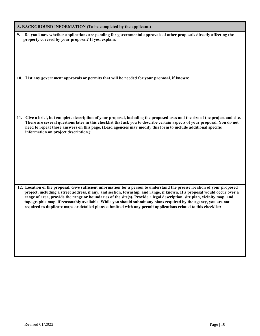| A. BACKGROUND INFORMATION (To be completed by the applicant.)                                                                                                                                                                                                                                                                                                                                                                                                                                                                                                                                                            |  |  |  |  |
|--------------------------------------------------------------------------------------------------------------------------------------------------------------------------------------------------------------------------------------------------------------------------------------------------------------------------------------------------------------------------------------------------------------------------------------------------------------------------------------------------------------------------------------------------------------------------------------------------------------------------|--|--|--|--|
| Do you know whether applications are pending for governmental approvals of other proposals directly affecting the<br>9.<br>property covered by your proposal? If yes, explain:                                                                                                                                                                                                                                                                                                                                                                                                                                           |  |  |  |  |
| 10. List any government approvals or permits that will be needed for your proposal, if known:                                                                                                                                                                                                                                                                                                                                                                                                                                                                                                                            |  |  |  |  |
| 11. Give a brief, but complete description of your proposal, including the proposed uses and the size of the project and site.<br>There are several questions later in this checklist that ask you to describe certain aspects of your proposal. You do not<br>need to repeat those answers on this page. (Lead agencies may modify this form to include additional specific<br>information on project description.):                                                                                                                                                                                                    |  |  |  |  |
| 12. Location of the proposal. Give sufficient information for a person to understand the precise location of your proposed<br>project, including a street address, if any, and section, township, and range, if known. If a proposal would occur over a<br>range of area, provide the range or boundaries of the site(s). Provide a legal description, site plan, vicinity map, and<br>topographic map, if reasonably available. While you should submit any plans required by the agency, you are not<br>required to duplicate maps or detailed plans submitted with any permit applications related to this checklist: |  |  |  |  |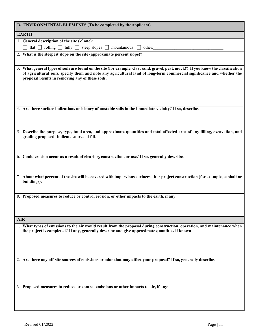|            | B. ENVIRONMENTAL ELEMENTS (To be completed by the applicant)                                                                                                                                                                                                                                                      |
|------------|-------------------------------------------------------------------------------------------------------------------------------------------------------------------------------------------------------------------------------------------------------------------------------------------------------------------|
|            | <b>EARTH</b>                                                                                                                                                                                                                                                                                                      |
|            | 1. General description of the site $(\check{v})$ one):                                                                                                                                                                                                                                                            |
|            | flat $\Box$ rolling $\Box$ hilly $\Box$ steep slopes $\Box$ mountainous $\Box$ other:                                                                                                                                                                                                                             |
|            | 2. What is the steepest slope on the site (approximate percent slope)?                                                                                                                                                                                                                                            |
|            |                                                                                                                                                                                                                                                                                                                   |
|            | 3. What general types of soils are found on the site (for example, clay, sand, gravel, peat, muck)? If you know the classification<br>of agricultural soils, specify them and note any agricultural land of long-term commercial significance and whether the<br>proposal results in removing any of these soils. |
|            | 4. Are there surface indications or history of unstable soils in the immediate vicinity? If so, describe.                                                                                                                                                                                                         |
|            |                                                                                                                                                                                                                                                                                                                   |
|            | 5. Describe the purpose, type, total area, and approximate quantities and total affected area of any filling, excavation, and<br>grading proposed. Indicate source of fill.                                                                                                                                       |
|            | 6. Could erosion occur as a result of clearing, construction, or use? If so, generally describe.                                                                                                                                                                                                                  |
|            |                                                                                                                                                                                                                                                                                                                   |
|            | 7. About what percent of the site will be covered with impervious surfaces after project construction (for example, asphalt or<br>buildings)?                                                                                                                                                                     |
|            | 8. Proposed measures to reduce or control erosion, or other impacts to the earth, if any:                                                                                                                                                                                                                         |
|            |                                                                                                                                                                                                                                                                                                                   |
| <b>AIR</b> |                                                                                                                                                                                                                                                                                                                   |
|            | 1. What types of emissions to the air would result from the proposal during construction, operation, and maintenance when<br>the project is completed? If any, generally describe and give approximate quantities if known.                                                                                       |
|            | 2. Are there any off-site sources of emissions or odor that may affect your proposal? If so, generally describe.                                                                                                                                                                                                  |
|            |                                                                                                                                                                                                                                                                                                                   |
|            | 3. Proposed measures to reduce or control emissions or other impacts to air, if any:                                                                                                                                                                                                                              |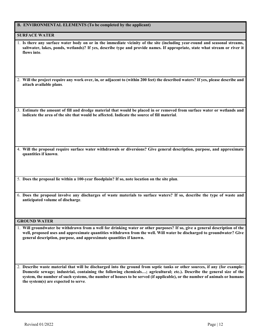|  | <b>B. ENVIRONMENTAL ELEMENTS (To be completed by the applicant)</b> |  |  |  |  |
|--|---------------------------------------------------------------------|--|--|--|--|
|--|---------------------------------------------------------------------|--|--|--|--|

#### **SURFACE WATER**

| 1. Is there any surface water body on or in the immediate vicinity of the site (including year-round and seasonal streams, |
|----------------------------------------------------------------------------------------------------------------------------|
| saltwater, lakes, ponds, wetlands)? If yes, describe type and provide names. If appropriate, state what stream or river it |
| flows into.                                                                                                                |

2. **Will the project require any work over, in, or adjacent to (within 200 feet) the described waters? If yes, please describe and attach available plans**.

3. **Estimate the amount of fill and dredge material that would be placed in or removed from surface water or wetlands and indicate the area of the site that would be affected. Indicate the source of fill material**.

4. **Will the proposal require surface water withdrawals or diversions? Give general description, purpose, and approximate quantities if known**.

5. **Does the proposal lie within a 100-year floodplain? If so, note location on the site plan**.

6. **Does the proposal involve any discharges of waste materials to surface waters? If so, describe the type of waste and anticipated volume of discharge**.

#### **GROUND WATER**

1. **Will groundwater be withdrawn from a well for drinking water or other purposes? If so, give a general description of the well, proposed uses and approximate quantities withdrawn from the well. Will water be discharged to groundwater? Give general description, purpose, and approximate quantities if known.**

2. **Describe waste material that will be discharged into the ground from septic tanks or other sources, if any (for example: Domestic sewage; industrial, containing the following chemicals…; agricultural; etc.). Describe the general size of the system, the number of such systems, the number of houses to be served (if applicable), or the number of animals or humans the system(s) are expected to serve**.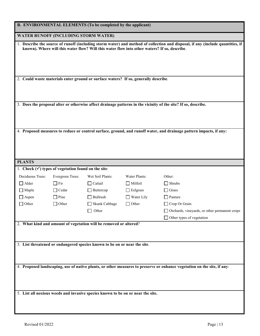| B. ENVIRONMENTAL ELEMENTS (To be completed by the applicant)                                                                                                                                                                   |                                                                |                                                                                     |                   |                                                                                                                    |  |
|--------------------------------------------------------------------------------------------------------------------------------------------------------------------------------------------------------------------------------|----------------------------------------------------------------|-------------------------------------------------------------------------------------|-------------------|--------------------------------------------------------------------------------------------------------------------|--|
|                                                                                                                                                                                                                                | WATER RUNOFF (INCLUDING STORM WATER)                           |                                                                                     |                   |                                                                                                                    |  |
| 1. Describe the source of runoff (including storm water) and method of collection and disposal, if any (include quantities, if<br>known). Where will this water flow? Will this water flow into other waters? If so, describe. |                                                                |                                                                                     |                   |                                                                                                                    |  |
|                                                                                                                                                                                                                                |                                                                | 2. Could waste materials enter ground or surface waters? If so, generally describe. |                   |                                                                                                                    |  |
|                                                                                                                                                                                                                                |                                                                |                                                                                     |                   | 3. Does the proposal alter or otherwise affect drainage patterns in the vicinity of the site? If so, describe.     |  |
|                                                                                                                                                                                                                                |                                                                |                                                                                     |                   |                                                                                                                    |  |
|                                                                                                                                                                                                                                |                                                                |                                                                                     |                   | 4. Proposed measures to reduce or control surface, ground, and runoff water, and drainage pattern impacts, if any: |  |
|                                                                                                                                                                                                                                |                                                                |                                                                                     |                   |                                                                                                                    |  |
| <b>PLANTS</b>                                                                                                                                                                                                                  |                                                                |                                                                                     |                   |                                                                                                                    |  |
|                                                                                                                                                                                                                                | 1. Check $(\checkmark)$ types of vegetation found on the site: |                                                                                     |                   |                                                                                                                    |  |
| Deciduous Trees:                                                                                                                                                                                                               | Evergreen Trees:                                               | Wet Soil Plants:                                                                    | Water Plants:     | Other:                                                                                                             |  |
| $\Box$ Alder                                                                                                                                                                                                                   | $\Box$ Fir                                                     | $\Box$ Cattail                                                                      | $\Box$ Milfoil    | $\Box$ Shrubs                                                                                                      |  |
| $\Box$ Maple                                                                                                                                                                                                                   | $\Box$ Cedar                                                   | $\Box$ Buttercup                                                                    | $\Box$ Eelgrass   | $\Box$ Grass                                                                                                       |  |
| $\Box$ Aspen                                                                                                                                                                                                                   | $\Box$ Pine                                                    | $\Box$ Bullrush                                                                     | $\Box$ Water Lily | $\Box$ Pasture                                                                                                     |  |
| $\Box$ Other                                                                                                                                                                                                                   | $\Box$ Other                                                   | Skunk Cabbage                                                                       | $\Box$ Other      | $\Box$ Crop Or Grain                                                                                               |  |
|                                                                                                                                                                                                                                |                                                                | $\Box$ Other                                                                        |                   | Orchards, vineyards, or other permanent crops                                                                      |  |
|                                                                                                                                                                                                                                |                                                                |                                                                                     |                   | $\Box$ Other types of vegetation                                                                                   |  |
| 2. What kind and amount of vegetation will be removed or altered?                                                                                                                                                              |                                                                |                                                                                     |                   |                                                                                                                    |  |
| 3. List threatened or endangered species known to be on or near the site.                                                                                                                                                      |                                                                |                                                                                     |                   |                                                                                                                    |  |
| 4. Proposed landscaping, use of native plants, or other measures to preserve or enhance vegetation on the site, if any:                                                                                                        |                                                                |                                                                                     |                   |                                                                                                                    |  |
| 5. List all noxious weeds and invasive species known to be on or near the site.                                                                                                                                                |                                                                |                                                                                     |                   |                                                                                                                    |  |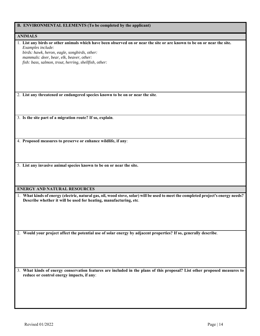|  |  |  | <b>B. ENVIRONMENTAL ELEMENTS (To be completed by the applicant)</b> |  |
|--|--|--|---------------------------------------------------------------------|--|
|--|--|--|---------------------------------------------------------------------|--|

| <b>ANIMALS</b>                                                                                                                               |
|----------------------------------------------------------------------------------------------------------------------------------------------|
| 1. List any birds or other animals which have been observed on or near the site or are known to be on or near the site.<br>Examples include: |
| birds: hawk, heron, eagle, songbirds, other:<br>mammals: deer, bear, elk, beaver, other:                                                     |
| fish: bass, salmon, trout, herring, shellfish, other:                                                                                        |
|                                                                                                                                              |
|                                                                                                                                              |
|                                                                                                                                              |
|                                                                                                                                              |
|                                                                                                                                              |
| 2. List any threatened or endangered species known to be on or near the site.                                                                |
|                                                                                                                                              |
|                                                                                                                                              |
| 3. Is the site part of a migration route? If so, explain.                                                                                    |
|                                                                                                                                              |
|                                                                                                                                              |
|                                                                                                                                              |
| 4. Proposed measures to preserve or enhance wildlife, if any:                                                                                |
|                                                                                                                                              |
|                                                                                                                                              |
|                                                                                                                                              |
| 5. List any invasive animal species known to be on or near the site.                                                                         |
|                                                                                                                                              |
|                                                                                                                                              |
|                                                                                                                                              |
| <b>ENERGY AND NATURAL RESOURCES</b>                                                                                                          |
| 1. What kinds of energy (electric, natural gas, oil, wood stove, solar) will be used to meet the completed project's energy needs?           |
| Describe whether it will be used for heating, manufacturing, etc.                                                                            |
|                                                                                                                                              |
|                                                                                                                                              |
|                                                                                                                                              |
|                                                                                                                                              |
| 2. Would your project affect the potential use of solar energy by adjacent properties? If so, generally describe.                            |
|                                                                                                                                              |
|                                                                                                                                              |
|                                                                                                                                              |
|                                                                                                                                              |
|                                                                                                                                              |
| 3. What kinds of energy conservation features are included in the plans of this proposal? List other proposed measures to                    |
| reduce or control energy impacts, if any:                                                                                                    |
|                                                                                                                                              |
|                                                                                                                                              |
|                                                                                                                                              |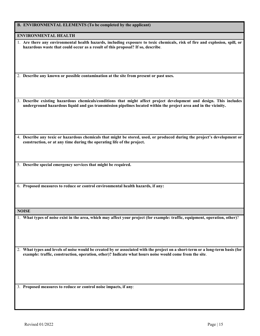|  |  | B. ENVIRONMENTAL ELEMENTS (To be completed by the applicant) |
|--|--|--------------------------------------------------------------|
|--|--|--------------------------------------------------------------|

**ENVIRONMENTAL HEALTH**

| 1. Are there any environmental health hazards, including exposure to toxic chemicals, risk of fire and explosion, spill, or |
|-----------------------------------------------------------------------------------------------------------------------------|
| hazardous waste that could occur as a result of this proposal? If so, describe.                                             |

2. **Describe any known or possible contamination at the site from present or past uses.**

3. **Describe existing hazardous chemicals/conditions that might affect project development and design. This includes underground hazardous liquid and gas transmission pipelines located within the project area and in the vicinity.**

4. **Describe any toxic or hazardous chemicals that might be stored, used, or produced during the project's development or construction, or at any time during the operating life of the project.**

5. **Describe special emergency services that might be required.**

6. **Proposed measures to reduce or control environmental health hazards, if any:**

**NOISE**

1. **What types of noise exist in the area, which may affect your project (for example: traffic, equipment, operation, other)**?

2. **What types and levels of noise would be created by or associated with the project on a short-term or a long-term basis (for example: traffic, construction, operation, other)? Indicate what hours noise would come from the site**.

3. **Proposed measures to reduce or control noise impacts, if any**: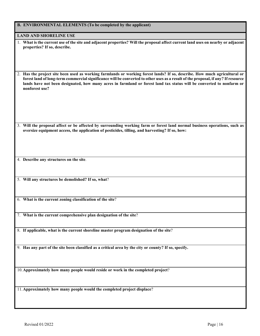| B. ENVIRONMENTAL ELEMENTS (To be completed by the applicant)                                                                                                                                                                                                                                                                                                                                             |
|----------------------------------------------------------------------------------------------------------------------------------------------------------------------------------------------------------------------------------------------------------------------------------------------------------------------------------------------------------------------------------------------------------|
| <b>LAND AND SHORELINE USE</b>                                                                                                                                                                                                                                                                                                                                                                            |
| 1. What is the current use of the site and adjacent properties? Will the proposal affect current land uses on nearby or adjacent<br>properties? If so, describe.                                                                                                                                                                                                                                         |
| 2. Has the project site been used as working farmlands or working forest lands? If so, describe. How much agricultural or<br>forest land of long-term commercial significance will be converted to other uses as a result of the proposal, if any? If resource<br>lands have not been designated, how many acres in farmland or forest land tax status will be converted to nonfarm or<br>nonforest use? |
|                                                                                                                                                                                                                                                                                                                                                                                                          |
| 3. Will the proposal affect or be affected by surrounding working farm or forest land normal business operations, such as<br>oversize equipment access, the application of pesticides, tilling, and harvesting? If so, how:                                                                                                                                                                              |
|                                                                                                                                                                                                                                                                                                                                                                                                          |
| 4. Describe any structures on the site.<br>5. Will any structures be demolished? If so, what?                                                                                                                                                                                                                                                                                                            |
|                                                                                                                                                                                                                                                                                                                                                                                                          |
| 6. What is the current zoning classification of the site?                                                                                                                                                                                                                                                                                                                                                |
| 7. What is the current comprehensive plan designation of the site?                                                                                                                                                                                                                                                                                                                                       |
| 8. If applicable, what is the current shoreline master program designation of the site?                                                                                                                                                                                                                                                                                                                  |
| 9. Has any part of the site been classified as a critical area by the city or county? If so, specify.                                                                                                                                                                                                                                                                                                    |
| 10. Approximately how many people would reside or work in the completed project?                                                                                                                                                                                                                                                                                                                         |
| 11. Approximately how many people would the completed project displace?                                                                                                                                                                                                                                                                                                                                  |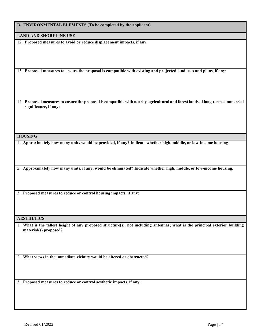|  |  | B. ENVIRONMENTAL ELEMENTS (To be completed by the applicant) |  |
|--|--|--------------------------------------------------------------|--|
|--|--|--------------------------------------------------------------|--|

**LAND AND SHORELINE USE**

12. **Proposed measures to avoid or reduce displacement impacts, if any**.

13. **Proposed measures to ensure the proposal is compatible with existing and projected land uses and plans, if any**:

14. **Proposed measures to ensure the proposal is compatible with nearby agricultural and forest lands of long-term commercial significance, if any:**

#### **HOUSING**

1. **Approximately how many units would be provided, if any? Indicate whether high, middle, or low-income housing**.

2. **Approximately how many units, if any, would be eliminated? Indicate whether high, middle, or low-income housing**.

3. **Proposed measures to reduce or control housing impacts, if any**:

**AESTHETICS**

1. **What is the tallest height of any proposed structure(s), not including antennas; what is the principal exterior building material(s) proposed**?

2. **What views in the immediate vicinity would be altered or obstructed**?

3. **Proposed measures to reduce or control aesthetic impacts, if any**: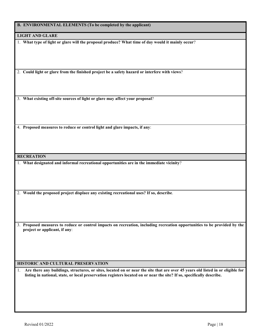**B. ENVIRONMENTAL ELEMENTS (To be completed by the applicant)**

**LIGHT AND GLARE**

1. **What type of light or glare will the proposal produce? What time of day would it mainly occur**?

2. **Could light or glare from the finished project be a safety hazard or interfere with views**?

3. **What existing off-site sources of light or glare may affect your proposal**?

4. **Proposed measures to reduce or control light and glare impacts, if any**:

**RECREATION**

1. **What designated and informal recreational opportunities are in the immediate vicinity**?

2. **Would the proposed project displace any existing recreational uses? If so, describe**.

3. **Proposed measures to reduce or control impacts on recreation, including recreation opportunities to be provided by the project or applicant, if any**:

#### **HISTORIC AND CULTURAL PRESERVATION**

1. **Are there any buildings, structures, or sites, located on or near the site that are over 45 years old listed in or eligible for listing in national, state, or local preservation registers located on or near the site? If so, specifically describe.**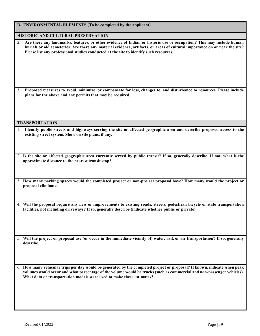| <b>B. ENVIRONMENTAL ELEMENTS (To be completed by the applicant)</b>                                                                                                                                                                                                                                                                                 |
|-----------------------------------------------------------------------------------------------------------------------------------------------------------------------------------------------------------------------------------------------------------------------------------------------------------------------------------------------------|
| HISTORIC AND CULTURAL PRESERVATION                                                                                                                                                                                                                                                                                                                  |
| Are there any landmarks, features, or other evidence of Indian or historic use or occupation? This may include human<br>2.<br>burials or old cemeteries. Are there any material evidence, artifacts, or areas of cultural importance on or near the site?<br>Please list any professional studies conducted at the site to identify such resources. |
| Proposed measures to avoid, minimize, or compensate for loss, changes to, and disturbance to resources. Please include<br>3.<br>plans for the above and any permits that may be required.                                                                                                                                                           |
| <b>TRANSPORTATION</b>                                                                                                                                                                                                                                                                                                                               |
| 1. Identify public streets and highways serving the site or affected geographic area and describe proposed access to the<br>existing street system. Show on site plans, if any.                                                                                                                                                                     |
| 2. Is the site or affected geographic area currently served by public transit? If so, generally describe. If not, what is the<br>approximate distance to the nearest transit stop?                                                                                                                                                                  |
| 3. How many parking spaces would the completed project or non-project proposal have? How many would the project or<br>proposal eliminate?                                                                                                                                                                                                           |
| 4. Will the proposal require any new or improvements to existing roads, streets, pedestrian bicycle or state transportation<br>facilities, not including driveways? If so, generally describe (indicate whether public or private).                                                                                                                 |
| 5. Will the project or proposal use (or occur in the immediate vicinity of) water, rail, or air transportation? If so, generally<br>describe.                                                                                                                                                                                                       |
| 6. How many vehicular trips per day would be generated by the completed project or proposal? If known, indicate when peak<br>volumes would occur and what percentage of the volume would be trucks (such as commercial and non-passenger vehicles).<br>What data or transportation models were used to make these estimates?                        |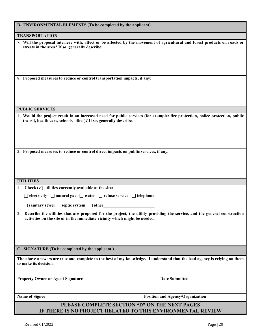| B. ENVIRONMENTAL ELEMENTS (To be completed by the applicant)                                                                                                                                                  |
|---------------------------------------------------------------------------------------------------------------------------------------------------------------------------------------------------------------|
| <b>TRANSPORTATION</b>                                                                                                                                                                                         |
| 7. Will the proposal interfere with, affect or be affected by the movement of agricultural and forest products on roads or<br>streets in the area? If so, generally describe:                                 |
| 8. Proposed measures to reduce or control transportation impacts, if any:                                                                                                                                     |
| <b>PUBLIC SERVICES</b>                                                                                                                                                                                        |
| 1. Would the project result in an increased need for public services (for example: fire protection, police protection, public<br>transit, health care, schools, other)? If so, generally describe:            |
| 2. Proposed measures to reduce or control direct impacts on public services, if any.                                                                                                                          |
| <b>UTILITIES</b>                                                                                                                                                                                              |
| 1. Check $(\checkmark)$ utilities currently available at the site:                                                                                                                                            |
| $\Box$ electricity $\Box$ natural gas $\Box$ water $\Box$ refuse service $\Box$ telephone                                                                                                                     |
| $\Box$ sanitary sewer $\Box$ septic system $\Box$ other                                                                                                                                                       |
| 2.<br>Describe the utilities that are proposed for the project, the utility providing the service, and the general construction<br>activities on the site or in the immediate vicinity which might be needed. |
| C. SIGNATURE (To be completed by the applicant.)                                                                                                                                                              |
| The above answers are true and complete to the best of my knowledge. I understand that the lead agency is relying on them<br>to make its decision.                                                            |
| <b>Date Submitted</b><br><b>Property Owner or Agent Signature</b>                                                                                                                                             |
| Name of Signee<br><b>Position and Agency/Organization</b>                                                                                                                                                     |
| PLEASE COMPLETE SECTION "D" ON THE NEXT PAGES<br>IF THERE IS NO PROJECT RELATED TO THIS ENVIRONMENTAL REVIEW                                                                                                  |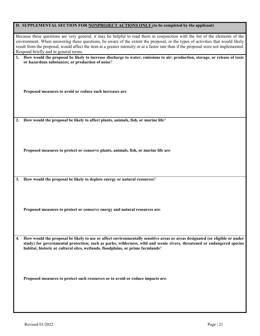|    | D. SUPPLEMENTAL SECTION FOR NONPROJECT ACTIONS ONLY (to be completed by the applicant)                                                                                                                                                                                                                                                                                                                                                           |  |
|----|--------------------------------------------------------------------------------------------------------------------------------------------------------------------------------------------------------------------------------------------------------------------------------------------------------------------------------------------------------------------------------------------------------------------------------------------------|--|
|    | Because these questions are very general, it may be helpful to read them in conjunction with the list of the elements of the<br>environment. When answering these questions, be aware of the extent the proposal, or the types of activities that would likely<br>result from the proposal, would affect the item at a greater intensity or at a faster rate than if the proposal were not implemented.<br>Respond briefly and in general terms. |  |
|    | 1. How would the proposal be likely to increase discharge to water; emissions to air; production, storage, or release of toxic<br>or hazardous substances; or production of noise?                                                                                                                                                                                                                                                               |  |
|    |                                                                                                                                                                                                                                                                                                                                                                                                                                                  |  |
|    | Proposed measures to avoid or reduce such increases are:                                                                                                                                                                                                                                                                                                                                                                                         |  |
|    |                                                                                                                                                                                                                                                                                                                                                                                                                                                  |  |
|    |                                                                                                                                                                                                                                                                                                                                                                                                                                                  |  |
| 2. | How would the proposal be likely to affect plants, animals, fish, or marine life?                                                                                                                                                                                                                                                                                                                                                                |  |
|    |                                                                                                                                                                                                                                                                                                                                                                                                                                                  |  |
|    |                                                                                                                                                                                                                                                                                                                                                                                                                                                  |  |
|    |                                                                                                                                                                                                                                                                                                                                                                                                                                                  |  |
|    | Proposed measures to protect or conserve plants, animals, fish, or marine life are:                                                                                                                                                                                                                                                                                                                                                              |  |
|    |                                                                                                                                                                                                                                                                                                                                                                                                                                                  |  |
|    |                                                                                                                                                                                                                                                                                                                                                                                                                                                  |  |
| 3. | How would the proposal be likely to deplete energy or natural resources?                                                                                                                                                                                                                                                                                                                                                                         |  |
|    |                                                                                                                                                                                                                                                                                                                                                                                                                                                  |  |
|    |                                                                                                                                                                                                                                                                                                                                                                                                                                                  |  |
|    |                                                                                                                                                                                                                                                                                                                                                                                                                                                  |  |
|    | Proposed measures to protect or conserve energy and natural resources are:                                                                                                                                                                                                                                                                                                                                                                       |  |
|    |                                                                                                                                                                                                                                                                                                                                                                                                                                                  |  |
|    |                                                                                                                                                                                                                                                                                                                                                                                                                                                  |  |
|    |                                                                                                                                                                                                                                                                                                                                                                                                                                                  |  |
| 4. | How would the proposal be likely to use or affect environmentally sensitive areas or areas designated (or eligible or under<br>study) for governmental protection; such as parks, wilderness, wild and scenic rivers, threatened or endangered species<br>habitat, historic or cultural sites, wetlands, floodplains, or prime farmlands?                                                                                                        |  |
|    |                                                                                                                                                                                                                                                                                                                                                                                                                                                  |  |
|    |                                                                                                                                                                                                                                                                                                                                                                                                                                                  |  |
|    |                                                                                                                                                                                                                                                                                                                                                                                                                                                  |  |
|    | Proposed measures to protect such resources or to avoid or reduce impacts are:                                                                                                                                                                                                                                                                                                                                                                   |  |
|    |                                                                                                                                                                                                                                                                                                                                                                                                                                                  |  |
|    |                                                                                                                                                                                                                                                                                                                                                                                                                                                  |  |
|    |                                                                                                                                                                                                                                                                                                                                                                                                                                                  |  |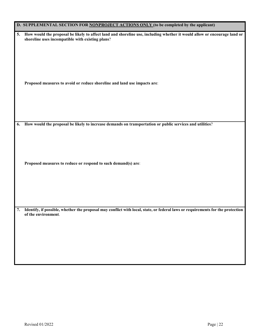|    | D. SUPPLEMENTAL SECTION FOR NONPROJECT ACTIONS ONLY (to be completed by the applicant)                                                                                          |
|----|---------------------------------------------------------------------------------------------------------------------------------------------------------------------------------|
|    | 5. How would the proposal be likely to affect land and shoreline use, including whether it would allow or encourage land or<br>shoreline uses incompatible with existing plans? |
|    | Proposed measures to avoid or reduce shoreline and land use impacts are:                                                                                                        |
| 6. | How would the proposal be likely to increase demands on transportation or public services and utilities?                                                                        |
|    | Proposed measures to reduce or respond to such demand(s) are:                                                                                                                   |
|    | 7. Identify, if possible, whether the proposal may conflict with local, state, or federal laws or requirements for the protection<br>of the environment.                        |